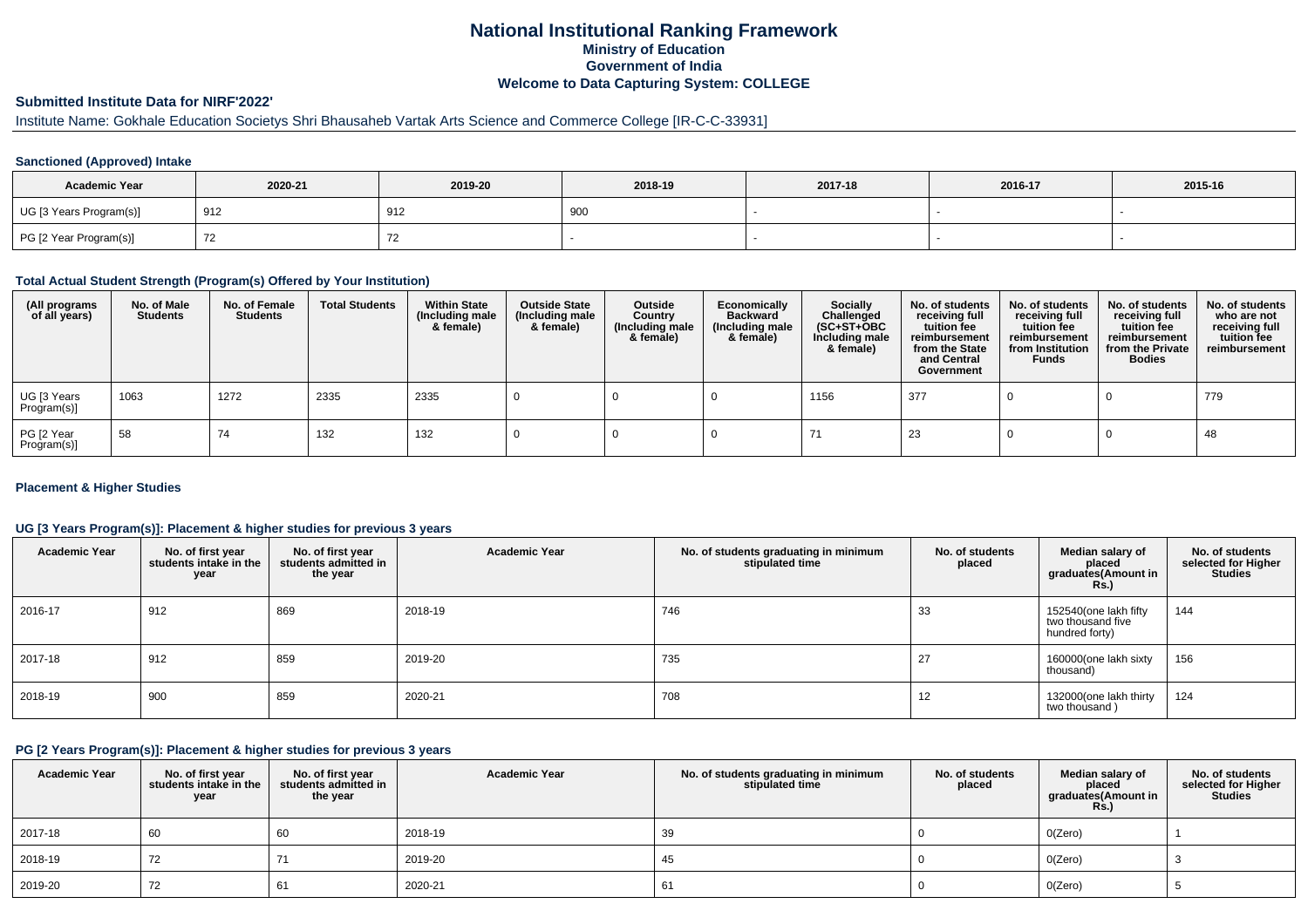# **National Institutional Ranking FrameworkMinistry of Education Government of IndiaWelcome to Data Capturing System: COLLEGE**

## **Submitted Institute Data for NIRF'2022'**

# Institute Name: Gokhale Education Societys Shri Bhausaheb Vartak Arts Science and Commerce College [IR-C-C-33931]

### **Sanctioned (Approved) Intake**

| <b>Academic Year</b>    | 2020-21 | 2019-20 | 2018-19 | 2017-18 | 2016-17 | 2015-16 |
|-------------------------|---------|---------|---------|---------|---------|---------|
| UG [3 Years Program(s)] | 912     | 912     | 900     |         |         |         |
| PG [2 Year Program(s)]  |         |         |         |         |         |         |

#### **Total Actual Student Strength (Program(s) Offered by Your Institution)**

| (All programs<br>of all years) | No. of Male<br><b>Students</b> | No. of Female<br>Students | <b>Total Students</b> | <b>Within State</b><br>(Including male<br>& female) | <b>Outside State</b><br>(Including male<br>& female) | Outside<br>Country<br>(Including male<br>& female) | Economically<br><b>Backward</b><br>(Including male<br>& female) | <b>Socially</b><br>Challenged<br>$(SC+ST+OBC)$<br>Including male<br>& female) | No. of students<br>receiving full<br>tuition fee<br>reimbursement<br>from the State<br>and Central<br>Government | No. of students<br>receiving full<br>tuition fee<br>reimbursement<br>from Institution<br><b>Funds</b> | No. of students<br>receiving full<br>tuition fee<br>reimbursement<br>from the Private<br><b>Bodies</b> | No. of students<br>who are not<br>receiving full<br>tuition fee<br>reimbursement |
|--------------------------------|--------------------------------|---------------------------|-----------------------|-----------------------------------------------------|------------------------------------------------------|----------------------------------------------------|-----------------------------------------------------------------|-------------------------------------------------------------------------------|------------------------------------------------------------------------------------------------------------------|-------------------------------------------------------------------------------------------------------|--------------------------------------------------------------------------------------------------------|----------------------------------------------------------------------------------|
| UG [3 Years<br>Program(s)]     | 1063                           | 1272                      | 2335                  | 2335                                                |                                                      |                                                    |                                                                 | 1156                                                                          | 377                                                                                                              |                                                                                                       |                                                                                                        | 779                                                                              |
| PG [2 Year<br>Program(s)]      | 58                             | 74                        | 132                   | 132                                                 |                                                      |                                                    |                                                                 |                                                                               | 23                                                                                                               |                                                                                                       |                                                                                                        | 48                                                                               |

### **Placement & Higher Studies**

### **UG [3 Years Program(s)]: Placement & higher studies for previous 3 years**

| <b>Academic Year</b> | No. of first year<br>students intake in the<br>year | No. of first year<br>students admitted in<br>the year | <b>Academic Year</b> | No. of students graduating in minimum<br>stipulated time | No. of students<br>placed | Median salary of<br>placed<br>graduates(Amount in<br>Rs.     | No. of students<br>selected for Higher<br><b>Studies</b> |
|----------------------|-----------------------------------------------------|-------------------------------------------------------|----------------------|----------------------------------------------------------|---------------------------|--------------------------------------------------------------|----------------------------------------------------------|
| 2016-17              | 912                                                 | 869                                                   | 2018-19              | 746                                                      | 33                        | 152540(one lakh fifty<br>two thousand five<br>hundred forty) | 144                                                      |
| 2017-18              | 912                                                 | 859                                                   | 2019-20              | 735                                                      | 27                        | 160000(one lakh sixty<br>thousand)                           | 156                                                      |
| 2018-19              | 900                                                 | 859                                                   | 2020-21              | 708                                                      | 12                        | 132000(one lakh thirty<br>two thousand)                      | 124                                                      |

#### **PG [2 Years Program(s)]: Placement & higher studies for previous 3 years**

| <b>Academic Year</b> | No. of first year<br>students intake in the<br>year | No. of first year<br>students admitted in<br>the year | <b>Academic Year</b> | No. of students graduating in minimum<br>stipulated time | No. of students<br>placed | Median salary of<br>placed<br>graduates(Amount in<br>Rs. | No. of students<br>selected for Higher<br><b>Studies</b> |
|----------------------|-----------------------------------------------------|-------------------------------------------------------|----------------------|----------------------------------------------------------|---------------------------|----------------------------------------------------------|----------------------------------------------------------|
| 2017-18              | 60                                                  | 60                                                    | 2018-19              | 39                                                       |                           | O(Zero)                                                  |                                                          |
| 2018-19              | 72                                                  |                                                       | 2019-20              | 45                                                       |                           | O(Zero)                                                  |                                                          |
| 2019-20              | 72                                                  | 61                                                    | 2020-21              | OΙ                                                       |                           | O(Zero)                                                  |                                                          |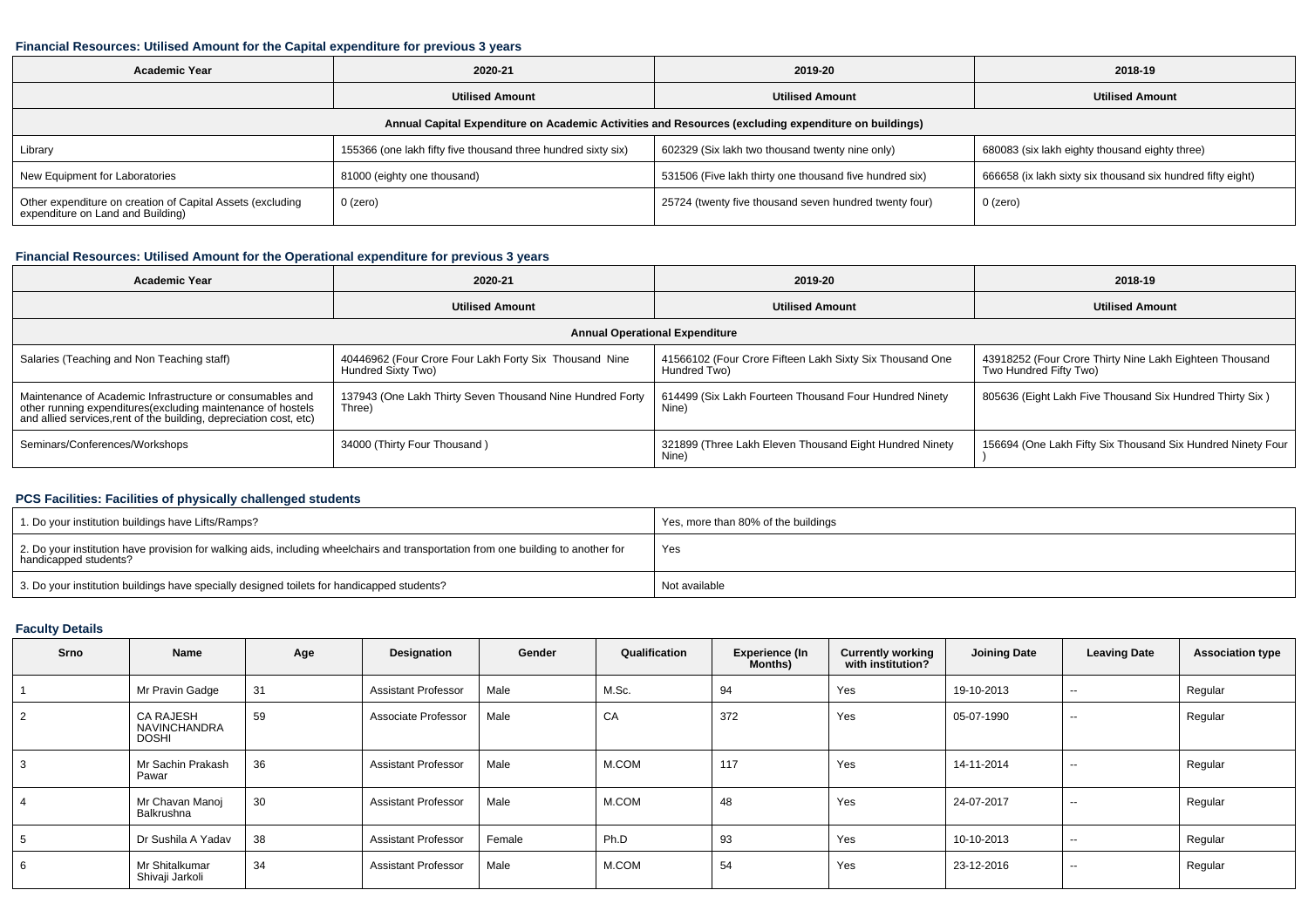#### **Financial Resources: Utilised Amount for the Capital expenditure for previous 3 years**

| <b>Academic Year</b>                                                                                 | 2020-21                                                       |                                                         | 2018-19                                                     |  |  |  |  |  |  |
|------------------------------------------------------------------------------------------------------|---------------------------------------------------------------|---------------------------------------------------------|-------------------------------------------------------------|--|--|--|--|--|--|
|                                                                                                      | <b>Utilised Amount</b>                                        | <b>Utilised Amount</b>                                  | <b>Utilised Amount</b>                                      |  |  |  |  |  |  |
| Annual Capital Expenditure on Academic Activities and Resources (excluding expenditure on buildings) |                                                               |                                                         |                                                             |  |  |  |  |  |  |
| Library                                                                                              | 155366 (one lakh fifty five thousand three hundred sixty six) | 602329 (Six lakh two thousand twenty nine only)         | 680083 (six lakh eighty thousand eighty three)              |  |  |  |  |  |  |
| New Equipment for Laboratories                                                                       | 81000 (eighty one thousand)                                   | 531506 (Five lakh thirty one thousand five hundred six) | 666658 (ix lakh sixty six thousand six hundred fifty eight) |  |  |  |  |  |  |
| Other expenditure on creation of Capital Assets (excluding<br>expenditure on Land and Building)      | 0 (zero)                                                      | 25724 (twenty five thousand seven hundred twenty four)  | 0 (zero)                                                    |  |  |  |  |  |  |

### **Financial Resources: Utilised Amount for the Operational expenditure for previous 3 years**

| Academic Year                                                                                                                                                                                  | 2020-21                                                                      | 2019-20                                                                  | 2018-19                                                                           |  |  |  |  |  |  |
|------------------------------------------------------------------------------------------------------------------------------------------------------------------------------------------------|------------------------------------------------------------------------------|--------------------------------------------------------------------------|-----------------------------------------------------------------------------------|--|--|--|--|--|--|
|                                                                                                                                                                                                | <b>Utilised Amount</b>                                                       |                                                                          | <b>Utilised Amount</b>                                                            |  |  |  |  |  |  |
| <b>Annual Operational Expenditure</b>                                                                                                                                                          |                                                                              |                                                                          |                                                                                   |  |  |  |  |  |  |
| Salaries (Teaching and Non Teaching staff)                                                                                                                                                     | 40446962 (Four Crore Four Lakh Forty Six Thousand Nine<br>Hundred Sixty Two) | 41566102 (Four Crore Fifteen Lakh Sixty Six Thousand One<br>Hundred Two) | 43918252 (Four Crore Thirty Nine Lakh Eighteen Thousand<br>Two Hundred Fifty Two) |  |  |  |  |  |  |
| Maintenance of Academic Infrastructure or consumables and<br>other running expenditures(excluding maintenance of hostels<br>and allied services, rent of the building, depreciation cost, etc) | 137943 (One Lakh Thirty Seven Thousand Nine Hundred Forty<br>Three)          | 614499 (Six Lakh Fourteen Thousand Four Hundred Ninety<br>Nine)          | 805636 (Eight Lakh Five Thousand Six Hundred Thirty Six)                          |  |  |  |  |  |  |
| Seminars/Conferences/Workshops                                                                                                                                                                 | 34000 (Thirty Four Thousand)                                                 | 321899 (Three Lakh Eleven Thousand Eight Hundred Ninety<br>Nine)         | 156694 (One Lakh Fifty Six Thousand Six Hundred Ninety Four                       |  |  |  |  |  |  |

## **PCS Facilities: Facilities of physically challenged students**

| 1. Do your institution buildings have Lifts/Ramps?                                                                                                      | Yes, more than 80% of the buildings |
|---------------------------------------------------------------------------------------------------------------------------------------------------------|-------------------------------------|
| 2. Do your institution have provision for walking aids, including wheelchairs and transportation from one building to another for handicapped students? | Yes                                 |
| 3. Do your institution buildings have specially designed toilets for handicapped students?                                                              | Not available                       |

### **Faculty Details**

| Srno | Name                                                    | Age | Designation                | Gender | Qualification | Experience (In<br>Months) | <b>Currently working</b><br>with institution? | <b>Joining Date</b> | <b>Leaving Date</b>      | <b>Association type</b> |
|------|---------------------------------------------------------|-----|----------------------------|--------|---------------|---------------------------|-----------------------------------------------|---------------------|--------------------------|-------------------------|
|      | Mr Pravin Gadge                                         | 31  | <b>Assistant Professor</b> | Male   | M.Sc.         | 94                        | Yes                                           | 19-10-2013          | $\sim$ $\sim$            | Regular                 |
|      | <b>CA RAJESH</b><br><b>NAVINCHANDRA</b><br><b>DOSHI</b> | 59  | Associate Professor        | Male   | CA            | 372                       | Yes                                           | 05-07-1990          | $\sim$ $\sim$            | Regular                 |
| 3    | Mr Sachin Prakash<br>Pawar                              | 36  | <b>Assistant Professor</b> | Male   | M.COM         | 117                       | Yes                                           | 14-11-2014          | $\overline{\phantom{a}}$ | Regular                 |
|      | Mr Chavan Manoj<br>Balkrushna                           | 30  | <b>Assistant Professor</b> | Male   | M.COM         | 48                        | Yes                                           | 24-07-2017          | $\sim$                   | Regular                 |
|      | Dr Sushila A Yadav                                      | 38  | <b>Assistant Professor</b> | Female | Ph.D          | 93                        | Yes                                           | 10-10-2013          | $-$                      | Regular                 |
|      | Mr Shitalkumar<br>Shivaji Jarkoli                       | 34  | <b>Assistant Professor</b> | Male   | M.COM         | 54                        | Yes                                           | 23-12-2016          | $-$                      | Regular                 |